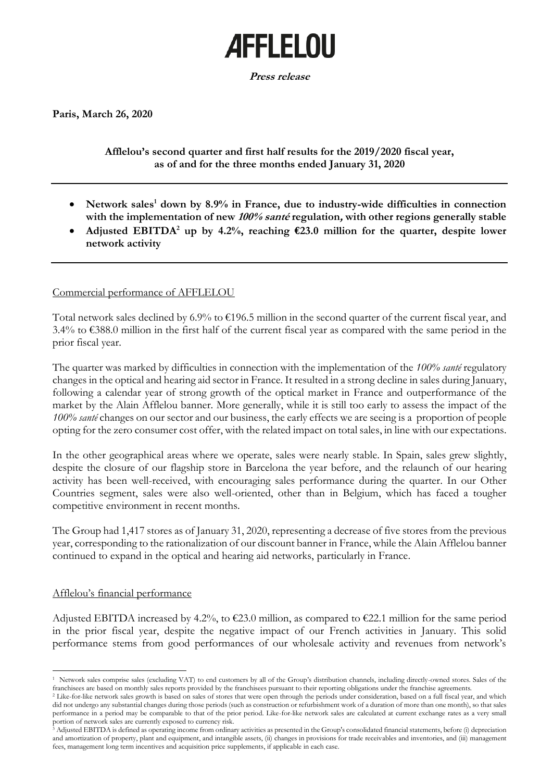# **AFFLELOU**

**Press release**

**Paris, March 26, 2020**

## **Afflelou's second quarter and first half results for the 2019/2020 fiscal year, as of and for the three months ended January 31, 2020**

- Network sales<sup>1</sup> down by 8.9% in France, due to industry-wide difficulties in connection **with the implementation of new 100% santé regulation, with other regions generally stable**
- Adjusted EBITDA<sup>2</sup> up by 4.2%, reaching  $\epsilon$ 23.0 million for the quarter, despite lower **network activity**

## Commercial performance of AFFLELOU

Total network sales declined by 6.9% to  $\epsilon$ 196.5 million in the second quarter of the current fiscal year, and 3.4% to €388.0 million in the first half of the current fiscal year as compared with the same period in the prior fiscal year.

The quarter was marked by difficulties in connection with the implementation of the *100% santé* regulatory changes in the optical and hearing aid sector in France. It resulted in a strong decline in sales during January, following a calendar year of strong growth of the optical market in France and outperformance of the market by the Alain Afflelou banner. More generally, while it is still too early to assess the impact of the *100% santé* changes on our sector and our business, the early effects we are seeing is a proportion of people opting for the zero consumer cost offer, with the related impact on total sales, in line with our expectations.

In the other geographical areas where we operate, sales were nearly stable. In Spain, sales grew slightly, despite the closure of our flagship store in Barcelona the year before, and the relaunch of our hearing activity has been well-received, with encouraging sales performance during the quarter. In our Other Countries segment, sales were also well-oriented, other than in Belgium, which has faced a tougher competitive environment in recent months.

The Group had 1,417 stores as of January 31, 2020, representing a decrease of five stores from the previous year, corresponding to the rationalization of our discount banner in France, while the Alain Afflelou banner continued to expand in the optical and hearing aid networks, particularly in France.

## Afflelou's financial performance

Adjusted EBITDA increased by 4.2%, to  $\epsilon$ 23.0 million, as compared to  $\epsilon$ 22.1 million for the same period in the prior fiscal year, despite the negative impact of our French activities in January. This solid performance stems from good performances of our wholesale activity and revenues from network's

<sup>1</sup> Network sales comprise sales (excluding VAT) to end customers by all of the Group's distribution channels, including directly-owned stores. Sales of the franchisees are based on monthly sales reports provided by the franchisees pursuant to their reporting obligations under the franchise agreements.

<sup>&</sup>lt;sup>2</sup> Like-for-like network sales growth is based on sales of stores that were open through the periods under consideration, based on a full fiscal year, and which did not undergo any substantial changes during those periods (such as construction or refurbishment work of a duration of more than one month), so that sales performance in a period may be comparable to that of the prior period. Like-for-like network sales are calculated at current exchange rates as a very small portion of network sales are currently exposed to currency risk.

<sup>3</sup> Adjusted EBITDA is defined as operating income from ordinary activities as presented in the Group's consolidated financial statements, before (i) depreciation and amortization of property, plant and equipment, and intangible assets, (ii) changes in provisions for trade receivables and inventories, and (iii) management fees, management long term incentives and acquisition price supplements, if applicable in each case.